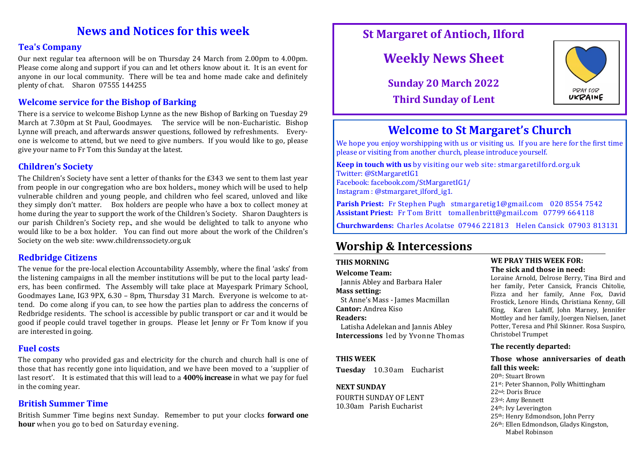# **News and Notices for this week**

### **Tea's Company**

Our next regular tea afternoon will be on Thursday 24 March from 2.00pm to 4.00pm. Please come along and support if you can and let others know about it. It is an event for anyone in our local community. There will be tea and home made cake and definitely plenty of chat. Sharon 07555 144255

## **Welcome service for the Bishop of Barking**

There is a service to welcome Bishop Lynne as the new Bishop of Barking on Tuesday 29 March at 7.30pm at St Paul, Goodmayes. The service will be non-Eucharistic. Bishop Lynne will preach, and afterwards answer questions, followed by refreshments. Everyone is welcome to attend, but we need to give numbers. If you would like to go, please give your name to Fr Tom this Sunday at the latest.

# **Children's Society**

The Children's Society have sent a letter of thanks for the £343 we sent to them last year from people in our congregation who are box holders., money which will be used to help vulnerable children and young people, and children who feel scared, unloved and like they simply don't matter. Box holders are people who have a box to collect money at home during the year to support the work of the Children's Society. Sharon Daughters is our parish Children's Society rep., and she would be delighted to talk to anyone who would like to be a box holder. You can find out more about the work of the Children's Society on the web site: www.childrenssociety.org.uk

## **Redbridge Citizens**

The venue for the pre-local election Accountability Assembly, where the final 'asks' from the listening campaigns in all the member institutions will be put to the local party leaders, has been confirmed. The Assembly will take place at Mayespark Primary School, Goodmayes Lane, IG3 9PX, 6.30 – 8pm, Thursday 31 March. Everyone is welcome to attend. Do come along if you can, to see how the parties plan to address the concerns of Redbridge residents. The school is accessible by public transport or car and it would be good if people could travel together in groups. Please let Jenny or Fr Tom know if you are interested in going.

## **Fuel costs**

The company who provided gas and electricity for the church and church hall is one of those that has recently gone into liquidation, and we have been moved to a 'supplier of last resort'. It is estimated that this will lead to a **400% increase** in what we pay for fuel in the coming year.

# **British Summer Time**

British Summer Time begins next Sunday. Remember to put your clocks **forward one hour** when you go to bed on Saturday evening.

# **St Margaret of Antioch, Ilford**

# **Weekly News Sheet**

**Sunday 20 March 2022 Third Sunday of Lent**



# **Welcome to St Margaret's Church**

We hope you enjoy worshipping with us or visiting us. If you are here for the first time please or visiting from another church, please introduce yourself.

**Keep in touch with us** by visiting our web site: stmargaretilford.org.uk Twitter: @StMargaretIG1 Facebook: facebook.com/StMargaretIG1/ Instagram : @stmargaret\_ilford\_ig1.

**Parish Priest:** Fr Stephen Pugh stmargaretig1@gmail.com 020 8554 7542 **Assistant Priest:** Fr Tom Britt tomallenbritt@gmail.com 07799 664118

**Churchwardens:** Charles Acolatse 07946 221813 Helen Cansick 07903 813131

# **Worship & Intercessions**

### **THIS MORNING**

**Welcome Team:** 

Jannis Abley and Barbara Haler

**Mass setting:** 

 St Anne's Mass - James Macmillan **Cantor:** Andrea Kiso

#### **Readers:**

 Latisha Adelekan and Jannis Abley **Intercessions** led by Yvonne Thomas

#### **THIS WEEK**

**Tuesday** 10.30am Eucharist

#### **NEXT SUNDAY**

FOURTH SUNDAY OF LENT 10.30am Parish Eucharist

#### **WE PRAY THIS WEEK FOR: The sick and those in need:**

Loraine Arnold, Delrose Berry, Tina Bird and her family, Peter Cansick, Francis Chitolie, Fizza and her family, Anne Fox, David Frostick, Lenore Hinds, Christiana Kenny, Gill King, Karen Lahiff, John Marney, Jennifer Mottley and her family, Joergen Nielsen, Janet Potter, Teresa and Phil Skinner. Rosa Suspiro, Christobel Trumpet

#### **The recently departed:**

#### **Those whose anniversaries of death fall this week:**

th: Stuart Brown st: Peter Shannon, Polly Whittingham nd: Doris Bruce rd: Amy Bennett th: Ivy Leverington th: Henry Edmondson, John Perry th: Ellen Edmondson, Gladys Kingston, Mabel Robinson